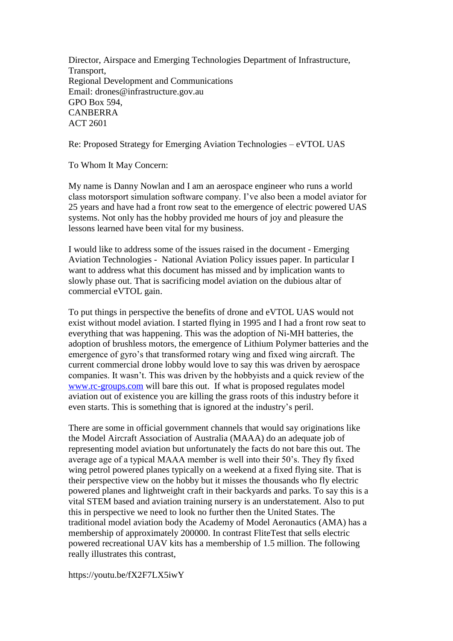Director, Airspace and Emerging Technologies Department of Infrastructure, Transport, Regional Development and Communications Email: drones@infrastructure.gov.au GPO Box 594, CANBERRA ACT 2601

Re: Proposed Strategy for Emerging Aviation Technologies – eVTOL UAS

To Whom It May Concern:

My name is Danny Nowlan and I am an aerospace engineer who runs a world class motorsport simulation software company. I've also been a model aviator for 25 years and have had a front row seat to the emergence of electric powered UAS systems. Not only has the hobby provided me hours of joy and pleasure the lessons learned have been vital for my business.

I would like to address some of the issues raised in the document - Emerging Aviation Technologies - National Aviation Policy issues paper. In particular I want to address what this document has missed and by implication wants to slowly phase out. That is sacrificing model aviation on the dubious altar of commercial eVTOL gain.

To put things in perspective the benefits of drone and eVTOL UAS would not exist without model aviation. I started flying in 1995 and I had a front row seat to everything that was happening. This was the adoption of Ni-MH batteries, the adoption of brushless motors, the emergence of Lithium Polymer batteries and the emergence of gyro's that transformed rotary wing and fixed wing aircraft. The current commercial drone lobby would love to say this was driven by aerospace companies. It wasn't. This was driven by the hobbyists and a quick review of the [www.rc-groups.com](http://www.rc-groups.com/) will bare this out. If what is proposed regulates model aviation out of existence you are killing the grass roots of this industry before it even starts. This is something that is ignored at the industry's peril.

There are some in official government channels that would say originations like the Model Aircraft Association of Australia (MAAA) do an adequate job of representing model aviation but unfortunately the facts do not bare this out. The average age of a typical MAAA member is well into their 50's. They fly fixed wing petrol powered planes typically on a weekend at a fixed flying site. That is their perspective view on the hobby but it misses the thousands who fly electric powered planes and lightweight craft in their backyards and parks. To say this is a vital STEM based and aviation training nursery is an understatement. Also to put this in perspective we need to look no further then the United States. The traditional model aviation body the Academy of Model Aeronautics (AMA) has a membership of approximately 200000. In contrast FliteTest that sells electric powered recreational UAV kits has a membership of 1.5 million. The following really illustrates this contrast,

https://youtu.be/fX2F7LX5iwY